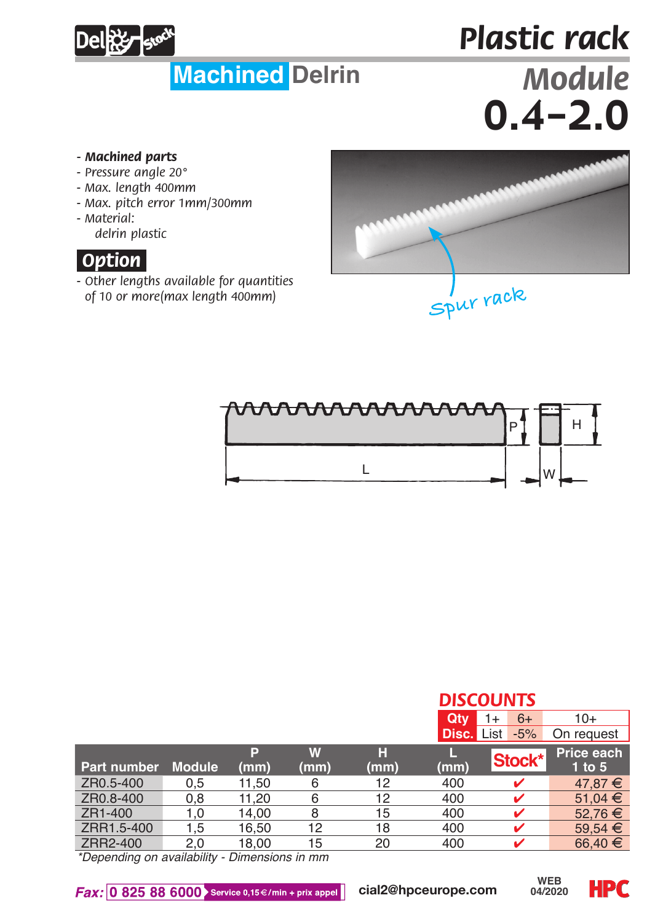## **Deletter** stock

## *Plastic rack* **Machined Delrin** *Module*  $0.4 - 2.0$

- *Machined parts*
- *Pressure angle 20°*
- *Max. length 400mm*
- *Max. pitch error 1mm/300mm*
- *Material:*

*delrin plastic*



*- Other lengths available for quantities of 10 or more(max length 400mm)*





|             |               |           |           |           |       | <b>DISCOUNTS</b> |                          |  |  |
|-------------|---------------|-----------|-----------|-----------|-------|------------------|--------------------------|--|--|
|             |               |           |           |           | Qtv   | $6+$<br>1+       | $10+$                    |  |  |
|             |               |           |           |           | Disc. | List<br>$-5%$    | On request               |  |  |
| Part number | <b>Module</b> | P<br>(mm) | W<br>(mm) | н<br>(mm) | (mm)  | Stock*           | Price each<br>$1$ to $5$ |  |  |
| ZR0.5-400   | 0,5           | 11.50     | 6         | 12        | 400   |                  | $47.87 \t\in$            |  |  |
| ZR0.8-400   | 0,8           | 11.20     | 6         | 12        | 400   |                  | 51.04 €                  |  |  |
| ZR1-400     | 1.0           | 14.00     | 8         | 15        | 400   |                  | 52.76 €                  |  |  |
| ZRR1.5-400  | 1.5           | 16.50     | 12        | 18        | 400   |                  | 59.54 $€$                |  |  |
| ZRR2-400    | 2.0           | 18.00     | 15        | 20        | 400   |                  | 66.40 €                  |  |  |

*\*Depending on availability - Dimensions in mm*